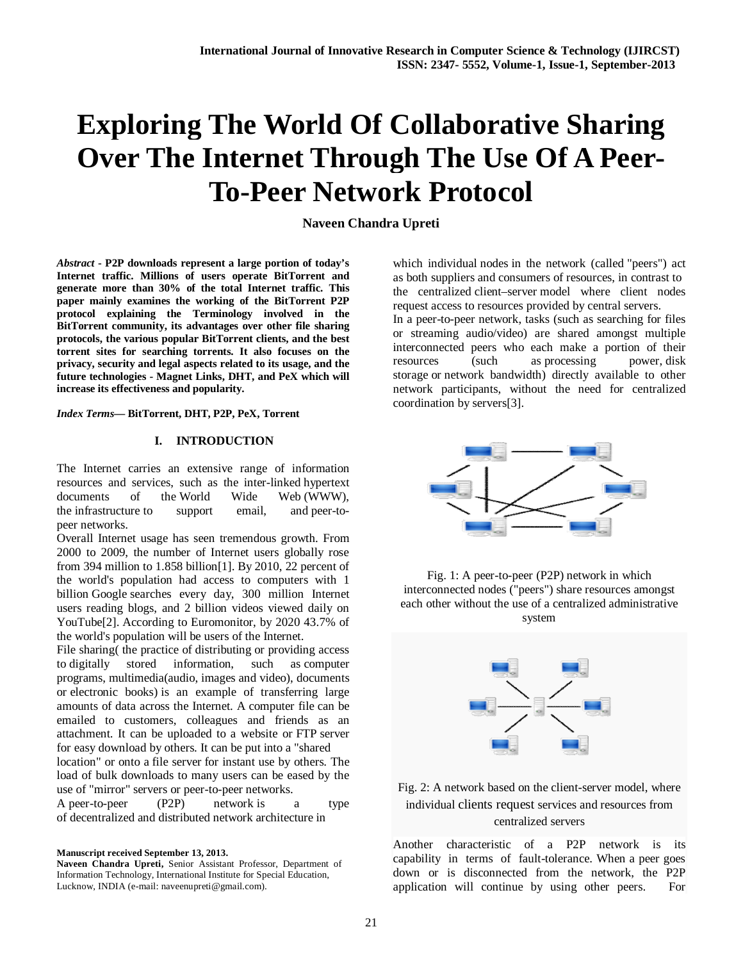# **Exploring The World Of Collaborative Sharing Over The Internet Through The Use Of A Peer-To-Peer Network Protocol**

**Naveen Chandra Upreti**

*Abstract* **- P2P downloads represent a large portion of today's Internet traffic. Millions of users operate BitTorrent and generate more than 30% of the total Internet traffic. This paper mainly examines the working of the BitTorrent P2P protocol explaining the Terminology involved in the BitTorrent community, its advantages over other file sharing protocols, the various popular BitTorrent clients, and the best torrent sites for searching torrents. It also focuses on the privacy, security and legal aspects related to its usage, and the future technologies - Magnet Links, DHT, and PeX which will increase its effectiveness and popularity.**

*Index Terms***— BitTorrent, DHT, P2P, PeX, Torrent**

# **I. INTRODUCTION**

The Internet carries an extensive range of information resources and services, such as the inter-linked hypertext documents of the World Wide Web (WWW), the infrastructure to support email, and peer-topeer networks.

Overall Internet usage has seen tremendous growth. From 2000 to 2009, the number of Internet users globally rose from 394 million to 1.858 billion[1]. By 2010, 22 percent of the world's population had access to computers with 1 billion Google searches every day, 300 million Internet users reading blogs, and 2 billion videos viewed daily on YouTube[2]. According to Euromonitor, by 2020 43.7% of the world's population will be users of the Internet.

File sharing( the practice of distributing or providing access to digitally stored information, such as computer programs, multimedia(audio, images and video), documents or electronic books) is an example of transferring large amounts of data across the Internet. A computer file can be emailed to customers, colleagues and friends as an attachment. It can be uploaded to a website or FTP server for easy download by others. It can be put into a "shared

location" or onto a file server for instant use by others. The load of bulk downloads to many users can be eased by the use of "mirror" servers or peer-to-peer networks.

A peer-to-peer (P2P) network is a type of decentralized and distributed network architecture in

**Naveen Chandra Upreti,** Senior Assistant Professor, Department of Information Technology, International Institute for Special Education, Lucknow, INDIA (e-mail: naveenupreti@gmail.com).

which individual nodes in the network (called "peers") act as both suppliers and consumers of resources, in contrast to the centralized client–server model where client nodes request access to resources provided by central servers.

In a peer-to-peer network, tasks (such as searching for files or streaming audio/video) are shared amongst multiple interconnected peers who each make a portion of their resources (such as processing power, disk storage or network bandwidth) directly available to other network participants, without the need for centralized coordination by servers[3].



Fig. 1: A peer-to-peer (P2P) network in which interconnected nodes ("peers") share resources amongst each other without the use of a centralized administrative system



Fig. 2: A network based on the client-server model, where individual clients request services and resources from centralized servers

Another characteristic of a P2P network is its capability in terms of fault-tolerance. When a peer goes down or is disconnected from the network, the P2P application will continue by using other peers. For

**Manuscript received September 13, 2013.**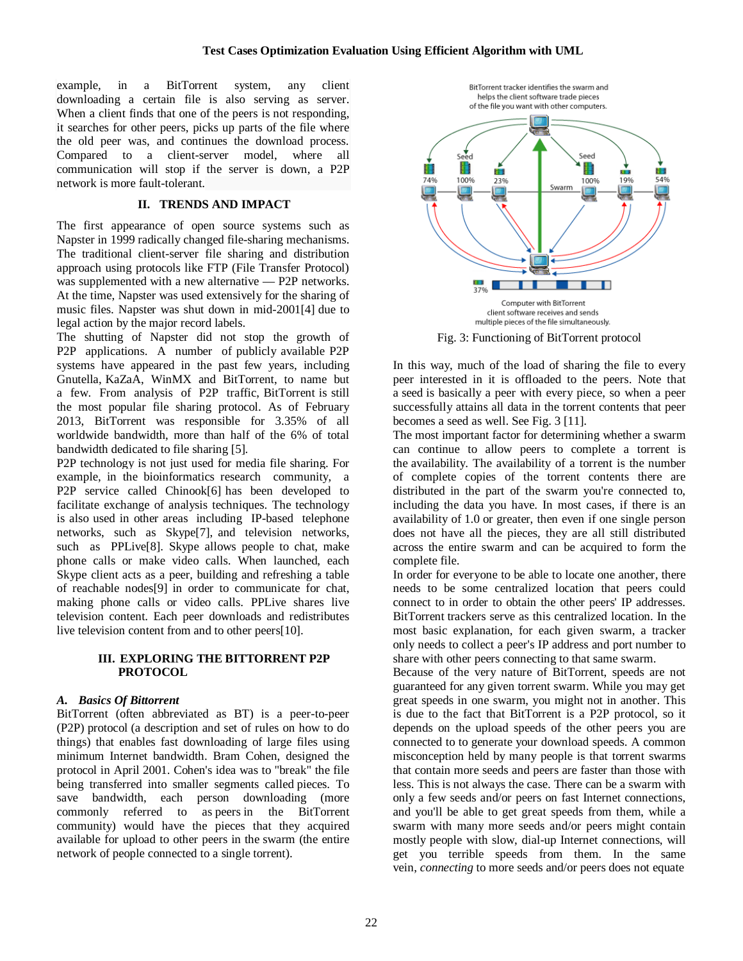example, in a BitTorrent system, any client downloading a certain file is also serving as server. When a client finds that one of the peers is not responding, it searches for other peers, picks up parts of the file where the old peer was, and continues the download process. Compared to a client-server model, where all communication will stop if the server is down, a P2P network is more fault-tolerant.

#### **II. TRENDS AND IMPACT**

The first appearance of open source systems such as Napster in 1999 radically changed file-sharing mechanisms. The traditional client-server file sharing and distribution approach using protocols like FTP (File Transfer Protocol) was supplemented with a new alternative — P2P networks. At the time, Napster was used extensively for the sharing of music files. Napster was shut down in mid-2001[4] due to legal action by the major record labels.

The shutting of Napster did not stop the growth of P2P applications. A number of publicly available P2P systems have appeared in the past few years, including Gnutella, KaZaA, WinMX and BitTorrent, to name but a few. From analysis of P2P traffic, BitTorrent is still the most popular file sharing protocol. As of February 2013, BitTorrent was responsible for 3.35% of all worldwide bandwidth, more than half of the 6% of total bandwidth dedicated to file sharing [5].

P2P technology is not just used for media file sharing. For example, in the bioinformatics research community, a P2P service called Chinook[6] has been developed to facilitate exchange of analysis techniques. The technology is also used in other areas including IP-based telephone networks, such as Skype[7], and television networks, such as PPLive[8]. Skype allows people to chat, make phone calls or make video calls. When launched, each Skype client acts as a peer, building and refreshing a table of reachable nodes[9] in order to communicate for chat, making phone calls or video calls. PPLive shares live television content. Each peer downloads and redistributes live television content from and to other peers[10].

# **III. EXPLORING THE BITTORRENT P2P PROTOCOL**

#### *A. Basics Of Bittorrent*

BitTorrent (often abbreviated as BT) is a peer-to-peer (P2P) protocol (a description and set of rules on how to do things) that enables fast downloading of large files using minimum Internet bandwidth. Bram Cohen, designed the protocol in April 2001. Cohen's idea was to "break" the file being transferred into smaller segments called pieces. To save bandwidth, each person downloading (more commonly referred to as peers in the BitTorrent community) would have the pieces that they acquired available for upload to other peers in the swarm (the entire network of people connected to a single torrent).



Fig. 3: Functioning of BitTorrent protocol

In this way, much of the load of sharing the file to every peer interested in it is offloaded to the peers. Note that a seed is basically a peer with every piece, so when a peer successfully attains all data in the torrent contents that peer becomes a seed as well. See Fig. 3 [11].

The most important factor for determining whether a swarm can continue to allow peers to complete a torrent is the availability. The availability of a torrent is the number of complete copies of the torrent contents there are distributed in the part of the swarm you're connected to, including the data you have. In most cases, if there is an availability of 1.0 or greater, then even if one single person does not have all the pieces, they are all still distributed across the entire swarm and can be acquired to form the complete file.

In order for everyone to be able to locate one another, there needs to be some centralized location that peers could connect to in order to obtain the other peers' IP addresses. BitTorrent trackers serve as this centralized location. In the most basic explanation, for each given swarm, a tracker only needs to collect a peer's IP address and port number to share with other peers connecting to that same swarm.

Because of the very nature of BitTorrent, speeds are not guaranteed for any given torrent swarm. While you may get great speeds in one swarm, you might not in another. This is due to the fact that BitTorrent is a P2P protocol, so it depends on the upload speeds of the other peers you are connected to to generate your download speeds. A common misconception held by many people is that torrent swarms that contain more seeds and peers are faster than those with less. This is not always the case. There can be a swarm with only a few seeds and/or peers on fast Internet connections, and you'll be able to get great speeds from them, while a swarm with many more seeds and/or peers might contain mostly people with slow, dial-up Internet connections, will get you terrible speeds from them. In the same vein, *connecting* to more seeds and/or peers does not equate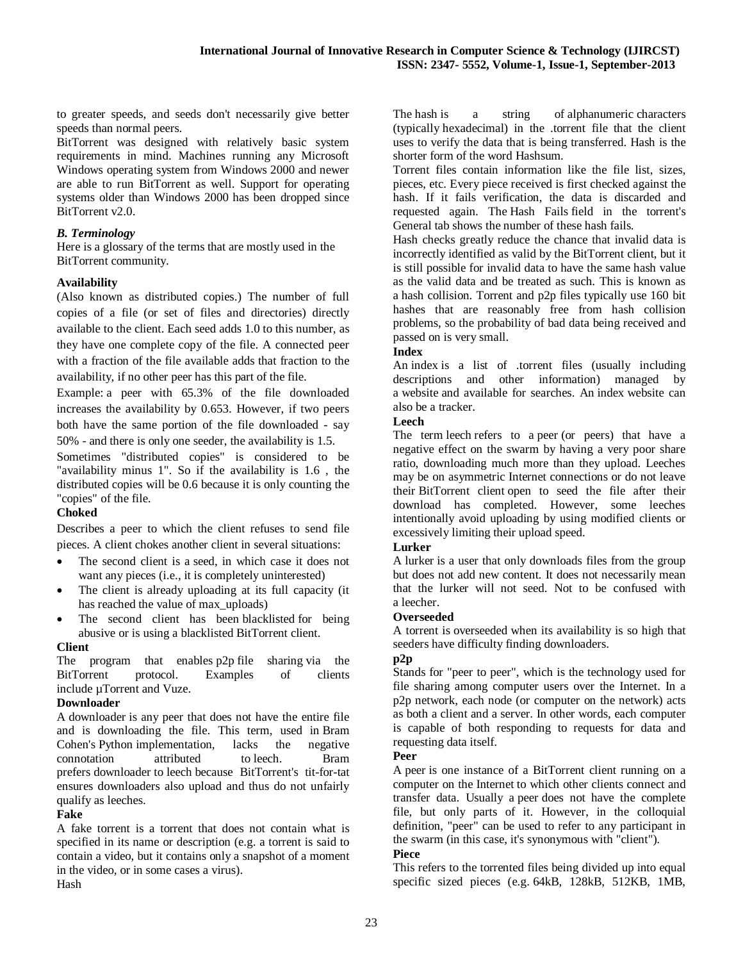to greater speeds, and seeds don't necessarily give better speeds than normal peers.

BitTorrent was designed with relatively basic system requirements in mind. Machines running any Microsoft Windows operating system from Windows 2000 and newer are able to run BitTorrent as well. Support for operating systems older than Windows 2000 has been dropped since BitTorrent v2.0.

# *B. Terminology*

Here is a glossary of the terms that are mostly used in the BitTorrent community.

# **Availability**

(Also known as distributed copies.) The number of full copies of a file (or set of files and directories) directly available to the client. Each seed adds 1.0 to this number, as they have one complete copy of the file. A connected peer with a fraction of the file available adds that fraction to the availability, if no other peer has this part of the file.

Example: a peer with 65.3% of the file downloaded increases the availability by 0.653. However, if two peers both have the same portion of the file downloaded - say 50% - and there is only one seeder, the availability is 1.5.

Sometimes "distributed copies" is considered to be "availability minus 1". So if the availability is 1.6 , the distributed copies will be 0.6 because it is only counting the "copies" of the file.

# **Choked**

Describes a peer to which the client refuses to send file pieces. A client chokes another client in several situations:

- The second client is a seed, in which case it does not want any pieces (i.e., it is completely uninterested)
- The client is already uploading at its full capacity (it has reached the value of max\_uploads)
- The second client has been blacklisted for being abusive or is using a blacklisted BitTorrent client.

# **Client**

The program that enables p2p file sharing via the BitTorrent protocol. Examples of clients include µTorrent and Vuze.

# **Downloader**

A downloader is any peer that does not have the entire file and is downloading the file. This term, used in Bram Cohen's Python implementation, lacks the negative connotation attributed to leech. Bram prefers downloader to leech because BitTorrent's tit-for-tat ensures downloaders also upload and thus do not unfairly qualify as leeches.

# **Fake**

A fake torrent is a torrent that does not contain what is specified in its name or description (e.g. a torrent is said to contain a video, but it contains only a snapshot of a moment in the video, or in some cases a virus).

Hash

The hash is a string of alphanumeric characters (typically hexadecimal) in the .torrent file that the client uses to verify the data that is being transferred. Hash is the shorter form of the word Hashsum.

Torrent files contain information like the file list, sizes, pieces, etc. Every piece received is first checked against the hash. If it fails verification, the data is discarded and requested again. The Hash Fails field in the torrent's General tab shows the number of these hash fails.

Hash checks greatly reduce the chance that invalid data is incorrectly identified as valid by the BitTorrent client, but it is still possible for invalid data to have the same hash value as the valid data and be treated as such. This is known as a hash collision. Torrent and p2p files typically use 160 bit hashes that are reasonably free from hash collision problems, so the probability of bad data being received and passed on is very small.

# **Index**

An index is a list of .torrent files (usually including descriptions and other information) managed by a website and available for searches. An index website can also be a tracker.

# **Leech**

The term leech refers to a peer (or peers) that have a negative effect on the swarm by having a very poor share ratio, downloading much more than they upload. Leeches may be on asymmetric Internet connections or do not leave their BitTorrent client open to seed the file after their download has completed. However, some leeches intentionally avoid uploading by using modified clients or excessively limiting their upload speed.

# **Lurker**

A lurker is a user that only downloads files from the group but does not add new content. It does not necessarily mean that the lurker will not seed. Not to be confused with a leecher.

# **Overseeded**

A torrent is overseeded when its availability is so high that seeders have difficulty finding downloaders.

# **p2p**

Stands for "peer to peer", which is the technology used for file sharing among computer users over the Internet. In a p2p network, each node (or computer on the network) acts as both a client and a server. In other words, each computer is capable of both responding to requests for data and requesting data itself.

# **Peer**

A peer is one instance of a BitTorrent client running on a computer on the Internet to which other clients connect and transfer data. Usually a peer does not have the complete file, but only parts of it. However, in the colloquial definition, "peer" can be used to refer to any participant in the swarm (in this case, it's synonymous with "client").

# **Piece**

This refers to the torrented files being divided up into equal specific sized pieces (e.g. 64kB, 128kB, 512KB, 1MB,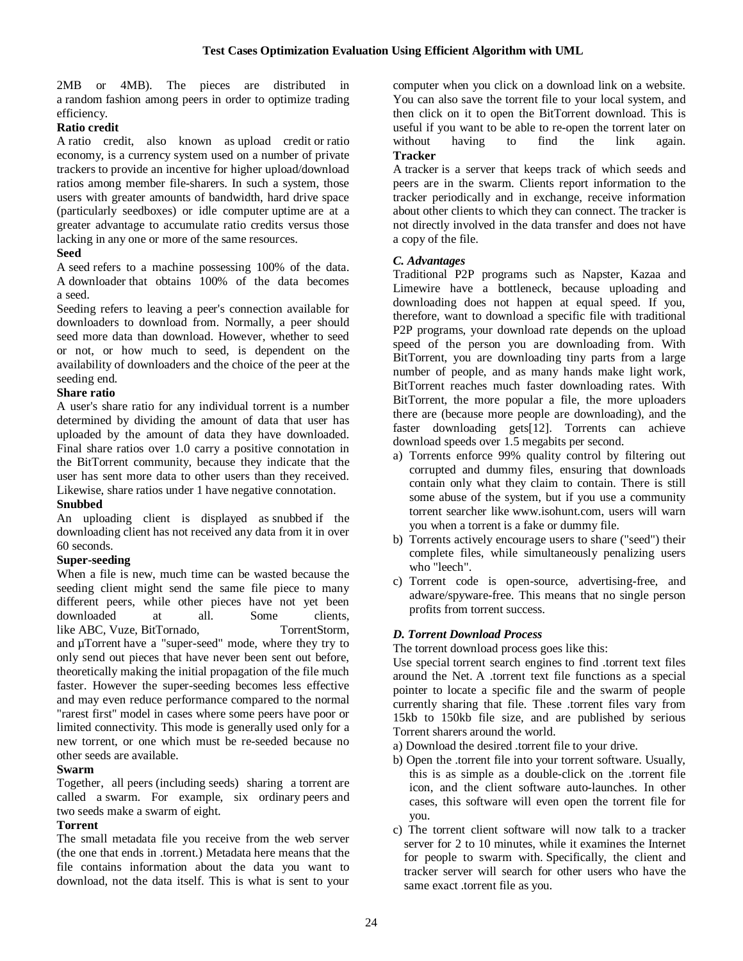2MB or 4MB). The pieces are distributed in a random fashion among peers in order to optimize trading efficiency.

# **Ratio credit**

A ratio credit, also known as upload credit or ratio economy, is a currency system used on a number of private trackers to provide an incentive for higher upload/download ratios among member file-sharers. In such a system, those users with greater amounts of bandwidth, hard drive space (particularly seedboxes) or idle computer uptime are at a greater advantage to accumulate ratio credits versus those lacking in any one or more of the same resources.

# **Seed**

A seed refers to a machine possessing 100% of the data. A downloader that obtains 100% of the data becomes a seed.

Seeding refers to leaving a peer's connection available for downloaders to download from. Normally, a peer should seed more data than download. However, whether to seed or not, or how much to seed, is dependent on the availability of downloaders and the choice of the peer at the seeding end.

# **Share ratio**

A user's share ratio for any individual torrent is a number determined by dividing the amount of data that user has uploaded by the amount of data they have downloaded. Final share ratios over 1.0 carry a positive connotation in the BitTorrent community, because they indicate that the user has sent more data to other users than they received. Likewise, share ratios under 1 have negative connotation.

# **Snubbed**

An uploading client is displayed as snubbed if the downloading client has not received any data from it in over 60 seconds.

# **Super-seeding**

When a file is new, much time can be wasted because the seeding client might send the same file piece to many different peers, while other pieces have not yet been downloaded at all. Some clients, like ABC, Vuze, BitTornado, TorrentStorm, and µTorrent have a "super-seed" mode, where they try to only send out pieces that have never been sent out before, theoretically making the initial propagation of the file much faster. However the super-seeding becomes less effective and may even reduce performance compared to the normal "rarest first" model in cases where some peers have poor or limited connectivity. This mode is generally used only for a new torrent, or one which must be re-seeded because no other seeds are available.

# **Swarm**

Together, all peers (including seeds) sharing a torrent are called a swarm. For example, six ordinary peers and two seeds make a swarm of eight.

# **Torrent**

The small metadata file you receive from the web server (the one that ends in .torrent.) Metadata here means that the file contains information about the data you want to download, not the data itself. This is what is sent to your

computer when you click on a download link on a website. You can also save the torrent file to your local system, and then click on it to open the BitTorrent download. This is useful if you want to be able to re-open the torrent later on without having to find the link again. **Tracker**

A tracker is a server that keeps track of which seeds and peers are in the swarm. Clients report information to the tracker periodically and in exchange, receive information about other clients to which they can connect. The tracker is not directly involved in the data transfer and does not have a copy of the file.

# *C. Advantages*

Traditional P2P programs such as Napster, Kazaa and Limewire have a bottleneck, because uploading and downloading does not happen at equal speed. If you, therefore, want to download a specific file with traditional P2P programs, your download rate depends on the upload speed of the person you are downloading from. With BitTorrent, you are downloading tiny parts from a large number of people, and as many hands make light work, BitTorrent reaches much faster downloading rates. With BitTorrent, the more popular a file, the more uploaders there are (because more people are downloading), and the faster downloading gets[12]. Torrents can achieve download speeds over 1.5 megabits per second.

- a) Torrents enforce 99% quality control by filtering out corrupted and dummy files, ensuring that downloads contain only what they claim to contain. There is still some abuse of the system, but if you use a community torrent searcher like www.isohunt.com, users will warn you when a torrent is a fake or dummy file.
- b) Torrents actively encourage users to share ("seed") their complete files, while simultaneously penalizing users who "leech".
- c) Torrent code is open-source, advertising-free, and adware/spyware-free. This means that no single person profits from torrent success.

# *D. Torrent Download Process*

The torrent download process goes like this:

Use special torrent search engines to find .torrent text files around the Net. A .torrent text file functions as a special pointer to locate a specific file and the swarm of people currently sharing that file. These .torrent files vary from 15kb to 150kb file size, and are published by serious Torrent sharers around the world.

- a) Download the desired .torrent file to your drive.
- b) Open the .torrent file into your torrent software. Usually, this is as simple as a double-click on the .torrent file icon, and the client software auto-launches. In other cases, this software will even open the torrent file for you.
- c) The torrent client software will now talk to a tracker server for 2 to 10 minutes, while it examines the Internet for people to swarm with. Specifically, the client and tracker server will search for other users who have the same exact .torrent file as you.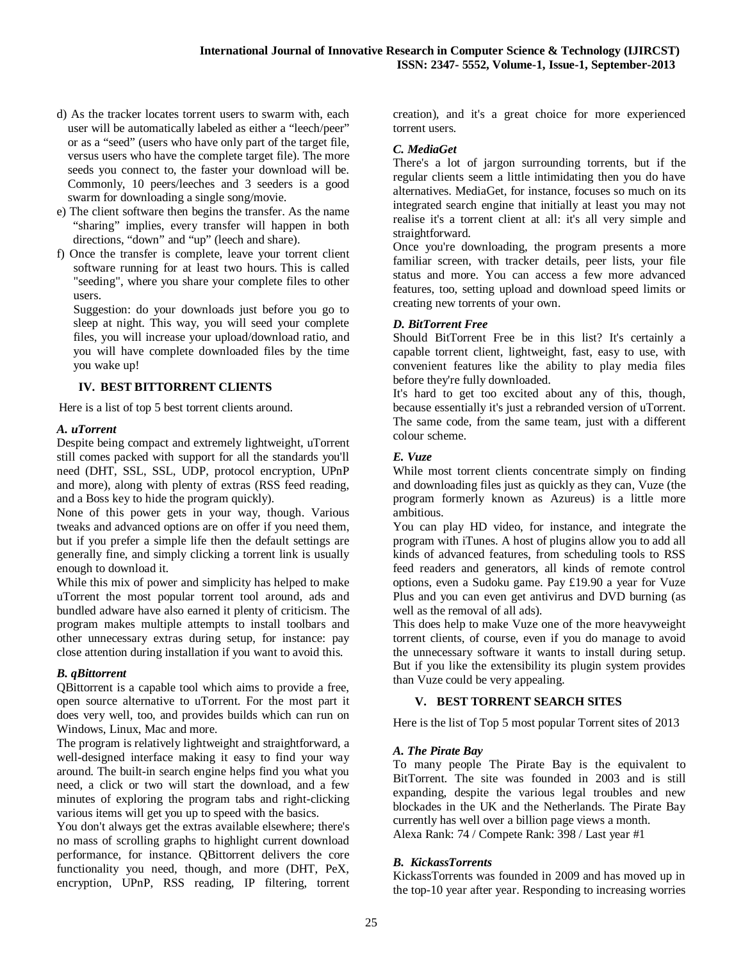- d) As the tracker locates torrent users to swarm with, each user will be automatically labeled as either a "leech/peer" or as a "seed" (users who have only part of the target file, versus users who have the complete target file). The more seeds you connect to, the faster your download will be. Commonly, 10 peers/leeches and 3 seeders is a good swarm for downloading a single song/movie.
- e) The client software then begins the transfer. As the name "sharing" implies, every transfer will happen in both directions, "down" and "up" (leech and share).
- f) Once the transfer is complete, leave your torrent client software running for at least two hours. This is called "seeding", where you share your complete files to other users.

Suggestion: do your downloads just before you go to sleep at night. This way, you will seed your complete files, you will increase your upload/download ratio, and you will have complete downloaded files by the time you wake up!

# **IV. BEST BITTORRENT CLIENTS**

Here is a list of top 5 best torrent clients around.

#### *A. uTorrent*

Despite being compact and extremely lightweight, uTorrent still comes packed with support for all the standards you'll need (DHT, SSL, SSL, UDP, protocol encryption, UPnP and more), along with plenty of extras (RSS feed reading, and a Boss key to hide the program quickly).

None of this power gets in your way, though. Various tweaks and advanced options are on offer if you need them, but if you prefer a simple life then the default settings are generally fine, and simply clicking a torrent link is usually enough to download it.

While this mix of power and simplicity has helped to make uTorrent the most popular torrent tool around, ads and bundled adware have also earned it plenty of criticism. The program makes multiple attempts to install toolbars and other unnecessary extras during setup, for instance: pay close attention during installation if you want to avoid this.

# *B. qBittorrent*

QBittorrent is a capable tool which aims to provide a free, open source alternative to uTorrent. For the most part it does very well, too, and provides builds which can run on Windows, Linux, Mac and more.

The program is relatively lightweight and straightforward, a well-designed interface making it easy to find your way around. The built-in search engine helps find you what you need, a click or two will start the download, and a few minutes of exploring the program tabs and right-clicking various items will get you up to speed with the basics.

You don't always get the extras available elsewhere; there's no mass of scrolling graphs to highlight current download performance, for instance. QBittorrent delivers the core functionality you need, though, and more (DHT, PeX, encryption, UPnP, RSS reading, IP filtering, torrent creation), and it's a great choice for more experienced torrent users.

# *C. MediaGet*

There's a lot of jargon surrounding torrents, but if the regular clients seem a little intimidating then you do have alternatives. MediaGet, for instance, focuses so much on its integrated search engine that initially at least you may not realise it's a torrent client at all: it's all very simple and straightforward.

Once you're downloading, the program presents a more familiar screen, with tracker details, peer lists, your file status and more. You can access a few more advanced features, too, setting upload and download speed limits or creating new torrents of your own.

# *D. BitTorrent Free*

Should BitTorrent Free be in this list? It's certainly a capable torrent client, lightweight, fast, easy to use, with convenient features like the ability to play media files before they're fully downloaded.

It's hard to get too excited about any of this, though, because essentially it's just a rebranded version of uTorrent. The same code, from the same team, just with a different colour scheme.

# *E. Vuze*

While most torrent clients concentrate simply on finding and downloading files just as quickly as they can, Vuze (the program formerly known as Azureus) is a little more ambitious.

You can play HD video, for instance, and integrate the program with iTunes. A host of plugins allow you to add all kinds of advanced features, from scheduling tools to RSS feed readers and generators, all kinds of remote control options, even a Sudoku game. Pay £19.90 a year for Vuze Plus and you can even get antivirus and DVD burning (as well as the removal of all ads).

This does help to make Vuze one of the more heavyweight torrent clients, of course, even if you do manage to avoid the unnecessary software it wants to install during setup. But if you like the extensibility its plugin system provides than Vuze could be very appealing.

# **V. BEST TORRENT SEARCH SITES**

Here is the list of Top 5 most popular Torrent sites of 2013

# *A. The Pirate Bay*

To many people The Pirate Bay is the equivalent to BitTorrent. The site was founded in 2003 and is still expanding, despite the various legal troubles and new blockades in the UK and the Netherlands. The Pirate Bay currently has well over a billion page views a month. Alexa Rank: 74 / Compete Rank: 398 / Last year #1

# *B. KickassTorrents*

KickassTorrents was founded in 2009 and has moved up in the top-10 year after year. Responding to increasing worries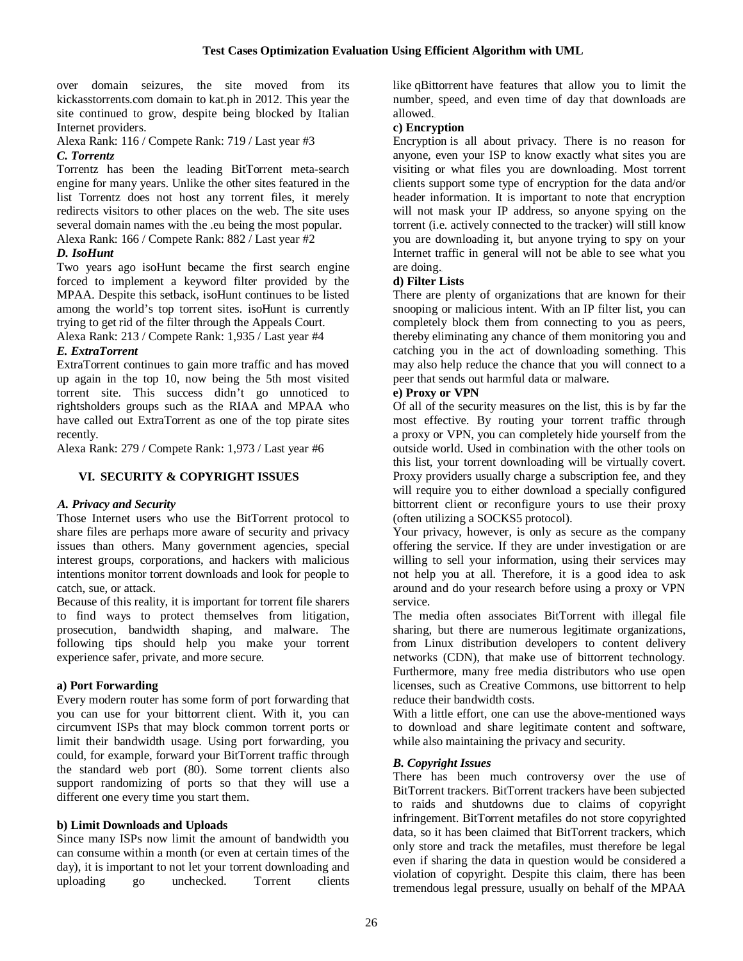over domain seizures, the site moved from its kickasstorrents.com domain to kat.ph in 2012. This year the site continued to grow, despite being blocked by Italian Internet providers.

Alexa Rank: 116 / Compete Rank: 719 / Last year #3 *C. Torrentz*

Torrentz has been the leading BitTorrent meta-search engine for many years. Unlike the other sites featured in the list Torrentz does not host any torrent files, it merely redirects visitors to other places on the web. The site uses several domain names with the .eu being the most popular. Alexa Rank: 166 / Compete Rank: 882 / Last year #2

# *D. IsoHunt*

Two years ago isoHunt became the first search engine forced to implement a keyword filter provided by the MPAA. Despite this setback, isoHunt continues to be listed among the world's top torrent sites. isoHunt is currently trying to get rid of the filter through the Appeals Court. Alexa Rank: 213 / Compete Rank: 1,935 / Last year #4

# *E. ExtraTorrent*

ExtraTorrent continues to gain more traffic and has moved up again in the top 10, now being the 5th most visited torrent site. This success didn't go unnoticed to rightsholders groups such as the RIAA and MPAA who have called out ExtraTorrent as one of the top pirate sites recently.

Alexa Rank: 279 / Compete Rank: 1,973 / Last year #6

# **VI. SECURITY & COPYRIGHT ISSUES**

# *A. Privacy and Security*

Those Internet users who use the BitTorrent protocol to share files are perhaps more aware of security and privacy issues than others. Many government agencies, special interest groups, corporations, and hackers with malicious intentions monitor torrent downloads and look for people to catch, sue, or attack.

Because of this reality, it is important for torrent file sharers to find ways to protect themselves from litigation, prosecution, bandwidth shaping, and malware. The following tips should help you make your torrent experience safer, private, and more secure.

# **a) Port Forwarding**

Every modern router has some form of port forwarding that you can use for your bittorrent client. With it, you can circumvent ISPs that may block common torrent ports or limit their bandwidth usage. Using port forwarding, you could, for example, forward your BitTorrent traffic through the standard web port (80). Some torrent clients also support randomizing of ports so that they will use a different one every time you start them.

# **b) Limit Downloads and Uploads**

Since many ISPs now limit the amount of bandwidth you can consume within a month (or even at certain times of the day), it is important to not let your torrent downloading and uploading go unchecked. Torrent clients

like qBittorrent have features that allow you to limit the number, speed, and even time of day that downloads are allowed.

# **c) Encryption**

Encryption is all about privacy. There is no reason for anyone, even your ISP to know exactly what sites you are visiting or what files you are downloading. Most torrent clients support some type of encryption for the data and/or header information. It is important to note that encryption will not mask your IP address, so anyone spying on the torrent (i.e. actively connected to the tracker) will still know you are downloading it, but anyone trying to spy on your Internet traffic in general will not be able to see what you are doing.

# **d) Filter Lists**

There are plenty of organizations that are known for their snooping or malicious intent. With an IP filter list, you can completely block them from connecting to you as peers, thereby eliminating any chance of them monitoring you and catching you in the act of downloading something. This may also help reduce the chance that you will connect to a peer that sends out harmful data or malware.

# **e) Proxy or VPN**

Of all of the security measures on the list, this is by far the most effective. By routing your torrent traffic through a proxy or VPN, you can completely hide yourself from the outside world. Used in combination with the other tools on this list, your torrent downloading will be virtually covert. Proxy providers usually charge a subscription fee, and they will require you to either download a specially configured bittorrent client or reconfigure yours to use their proxy (often utilizing a SOCKS5 protocol).

Your privacy, however, is only as secure as the company offering the service. If they are under investigation or are willing to sell your information, using their services may not help you at all. Therefore, it is a good idea to ask around and do your research before using a proxy or VPN service.

The media often associates BitTorrent with illegal file sharing, but there are numerous legitimate organizations, from Linux distribution developers to content delivery networks (CDN), that make use of bittorrent technology. Furthermore, many free media distributors who use open licenses, such as Creative Commons, use bittorrent to help reduce their bandwidth costs.

With a little effort, one can use the above-mentioned ways to download and share legitimate content and software, while also maintaining the privacy and security.

# *B. Copyright Issues*

There has been much controversy over the use of BitTorrent trackers. BitTorrent trackers have been subjected to raids and shutdowns due to claims of copyright infringement. BitTorrent metafiles do not store copyrighted data, so it has been claimed that BitTorrent trackers, which only store and track the metafiles, must therefore be legal even if sharing the data in question would be considered a violation of copyright. Despite this claim, there has been tremendous legal pressure, usually on behalf of the MPAA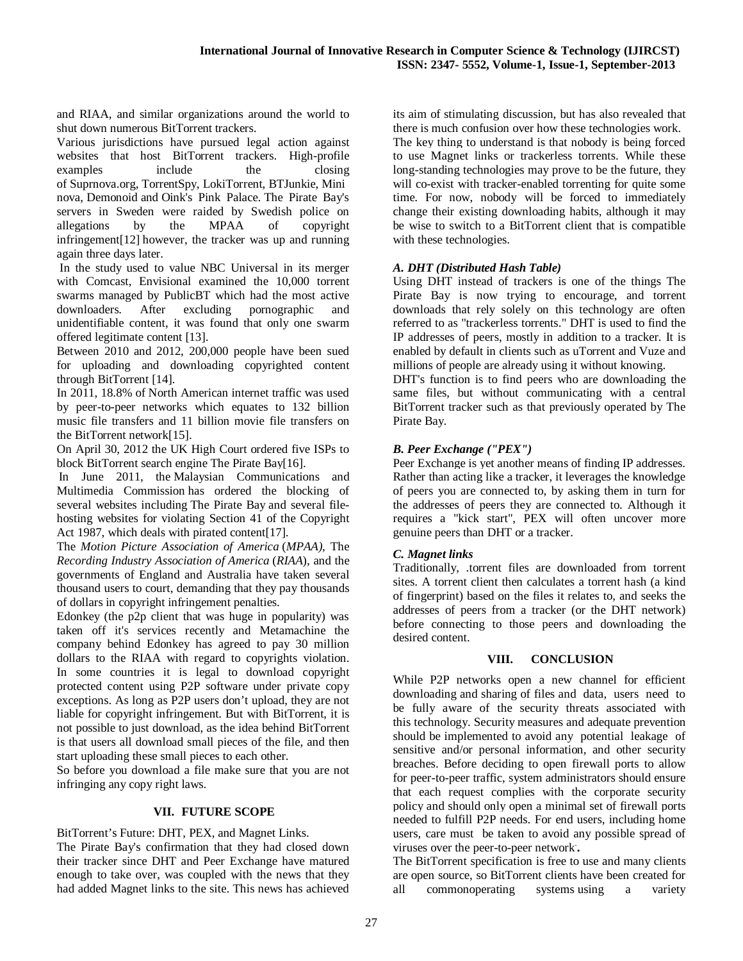and RIAA, and similar organizations around the world to shut down numerous BitTorrent trackers.

Various jurisdictions have pursued legal action against websites that host BitTorrent trackers. High-profile examples include the closing of Suprnova.org, TorrentSpy, LokiTorrent, BTJunkie, Mini nova, Demonoid and Oink's Pink Palace. The Pirate Bay's servers in Sweden were raided by Swedish police on allegations by the MPAA of copyright infringement[12] however, the tracker was up and running again three days later.

In the study used to value NBC Universal in its merger with Comcast, Envisional examined the 10,000 torrent swarms managed by PublicBT which had the most active downloaders. After excluding pornographic and unidentifiable content, it was found that only one swarm offered legitimate content [13].

Between 2010 and 2012, 200,000 people have been sued for uploading and downloading copyrighted content through BitTorrent [14].

In 2011, 18.8% of North American internet traffic was used by peer-to-peer networks which equates to 132 billion music file transfers and 11 billion movie file transfers on the BitTorrent network[15].

On April 30, 2012 the UK High Court ordered five ISPs to block BitTorrent search engine The Pirate Bay[16].

In June 2011, the Malaysian Communications and Multimedia Commission has ordered the blocking of several websites including The Pirate Bay and several filehosting websites for violating Section 41 of the Copyright Act 1987, which deals with pirated content[17].

The *Motion Picture Association of America* (*MPAA)*, The *Recording Industry Association of America* (*RIAA*), and the governments of England and Australia have taken several thousand users to court, demanding that they pay thousands of dollars in copyright infringement penalties.

Edonkey (the p2p client that was huge in popularity) was taken off it's services recently and Metamachine the company behind Edonkey has agreed to pay 30 million dollars to the RIAA with regard to copyrights violation. In some countries it is legal to download copyright protected content using P2P software under private copy exceptions. As long as P2P users don't upload, they are not liable for copyright infringement. But with BitTorrent, it is not possible to just download, as the idea behind BitTorrent is that users all download small pieces of the file, and then start uploading these small pieces to each other.

So before you download a file make sure that you are not infringing any copy right laws.

# **VII. FUTURE SCOPE**

BitTorrent's Future: DHT, PEX, and Magnet Links. The Pirate Bay's confirmation that they had closed down their tracker since DHT and Peer Exchange have matured enough to take over, was coupled with the news that they had added Magnet links to the site. This news has achieved its aim of stimulating discussion, but has also revealed that there is much confusion over how these technologies work. The key thing to understand is that nobody is being forced to use Magnet links or trackerless torrents. While these long-standing technologies may prove to be the future, they will co-exist with tracker-enabled torrenting for quite some time. For now, nobody will be forced to immediately change their existing downloading habits, although it may be wise to switch to a BitTorrent client that is compatible

# *A. DHT (Distributed Hash Table)*

with these technologies.

Using DHT instead of trackers is one of the things The Pirate Bay is now trying to encourage, and torrent downloads that rely solely on this technology are often referred to as "trackerless torrents." DHT is used to find the IP addresses of peers, mostly in addition to a tracker. It is enabled by default in clients such as uTorrent and Vuze and millions of people are already using it without knowing.

DHT's function is to find peers who are downloading the same files, but without communicating with a central BitTorrent tracker such as that previously operated by The Pirate Bay.

#### *B. Peer Exchange ("PEX")*

Peer Exchange is yet another means of finding IP addresses. Rather than acting like a tracker, it leverages the knowledge of peers you are connected to, by asking them in turn for the addresses of peers they are connected to. Although it requires a "kick start", PEX will often uncover more genuine peers than DHT or a tracker.

#### *C. Magnet links*

Traditionally, .torrent files are downloaded from torrent sites. A torrent client then calculates a torrent hash (a kind of fingerprint) based on the files it relates to, and seeks the addresses of peers from a tracker (or the DHT network) before connecting to those peers and downloading the desired content.

#### **VIII. CONCLUSION**

While P2P networks open a new channel for efficient downloading and sharing of files and data, users need to be fully aware of the security threats associated with this technology. Security measures and adequate prevention should be implemented to avoid any potential leakage of sensitive and/or personal information, and other security breaches. Before deciding to open firewall ports to allow for peer-to-peer traffic, system administrators should ensure that each request complies with the corporate security policy and should only open a minimal set of firewall ports needed to fulfill P2P needs. For end users, including home users, care must be taken to avoid any possible spread of viruses over the peer-to-peer network. **.**

The BitTorrent specification is free to use and many clients are open source, so BitTorrent clients have been created for all commonoperating systems using a variety